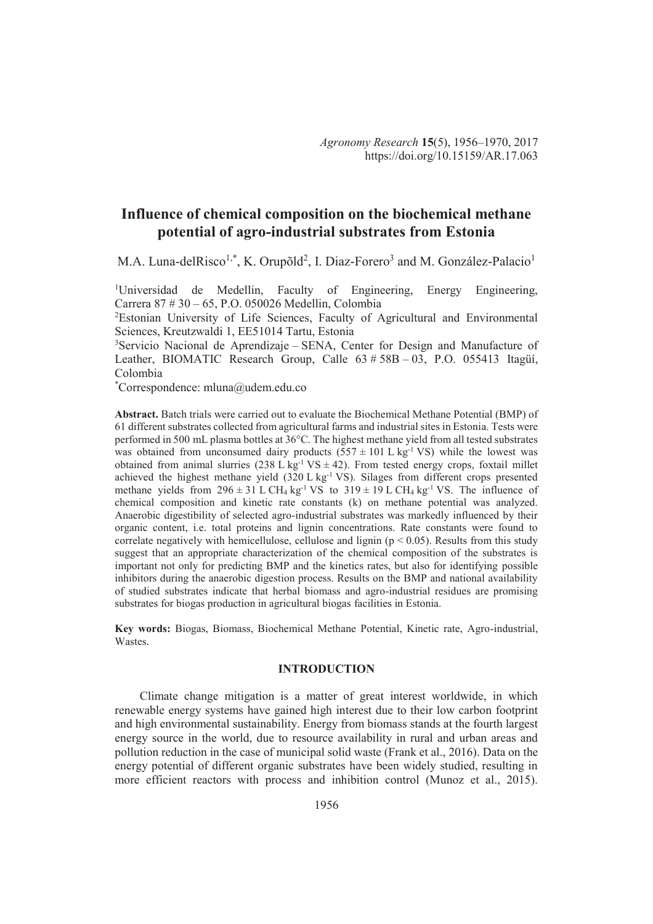# **Influence of chemical composition on the biochemical methane potential of agro-industrial substrates from Estonia**

M.A. Luna-delRisco<sup>1,\*</sup>, K. Orupõld<sup>2</sup>, I. Diaz-Forero<sup>3</sup> and M. González-Palacio<sup>1</sup>

<sup>1</sup>Universidad de Medellin, Faculty of Engineering, Energy Engineering, Carrera 87 # 30 – 65, P.O. 050026 Medellin, Colombia

<sup>2</sup>Estonian University of Life Sciences, Faculty of Agricultural and Environmental Sciences, Kreutzwaldi 1, EE51014 Tartu, Estonia

<sup>3</sup>Servicio Nacional de Aprendizaje – SENA, Center for Design and Manufacture of Leather, BIOMATIC Research Group, Calle  $63 \# 58B - 03$ , P.O. 055413 Itagüí, Colombia

\*Correspondence: mluna@udem.edu.co

**Abstract.** Batch trials were carried out to evaluate the Biochemical Methane Potential (BMP) of 61 different substrates collected from agricultural farms and industrial sites in Estonia. Tests were performed in 500 mL plasma bottles at 36°C. The highest methane yield from all tested substrates was obtained from unconsumed dairy products  $(557 \pm 101 \text{ L kg}^{-1} \text{ VS})$  while the lowest was obtained from animal slurries (238 L kg<sup>-1</sup> VS  $\pm$  42). From tested energy crops, foxtail millet achieved the highest methane yield  $(320 \text{ L kg}^{-1} \text{ VS})$ . Silages from different crops presented methane yields from  $296 \pm 31$  L CH<sub>4</sub> kg<sup>-1</sup> VS to  $319 \pm 19$  L CH<sub>4</sub> kg<sup>-1</sup> VS. The influence of chemical composition and kinetic rate constants (k) on methane potential was analyzed. Anaerobic digestibility of selected agro-industrial substrates was markedly influenced by their organic content, i.e. total proteins and lignin concentrations. Rate constants were found to correlate negatively with hemicellulose, cellulose and lignin ( $p < 0.05$ ). Results from this study suggest that an appropriate characterization of the chemical composition of the substrates is important not only for predicting BMP and the kinetics rates, but also for identifying possible inhibitors during the anaerobic digestion process. Results on the BMP and national availability of studied substrates indicate that herbal biomass and agro-industrial residues are promising substrates for biogas production in agricultural biogas facilities in Estonia.

**Key words:** Biogas, Biomass, Biochemical Methane Potential, Kinetic rate, Agro-industrial, Wastes.

# **INTRODUCTION**

Climate change mitigation is a matter of great interest worldwide, in which renewable energy systems have gained high interest due to their low carbon footprint and high environmental sustainability. Energy from biomass stands at the fourth largest energy source in the world, due to resource availability in rural and urban areas and pollution reduction in the case of municipal solid waste (Frank et al., 2016). Data on the energy potential of different organic substrates have been widely studied, resulting in more efficient reactors with process and inhibition control (Munoz et al., 2015).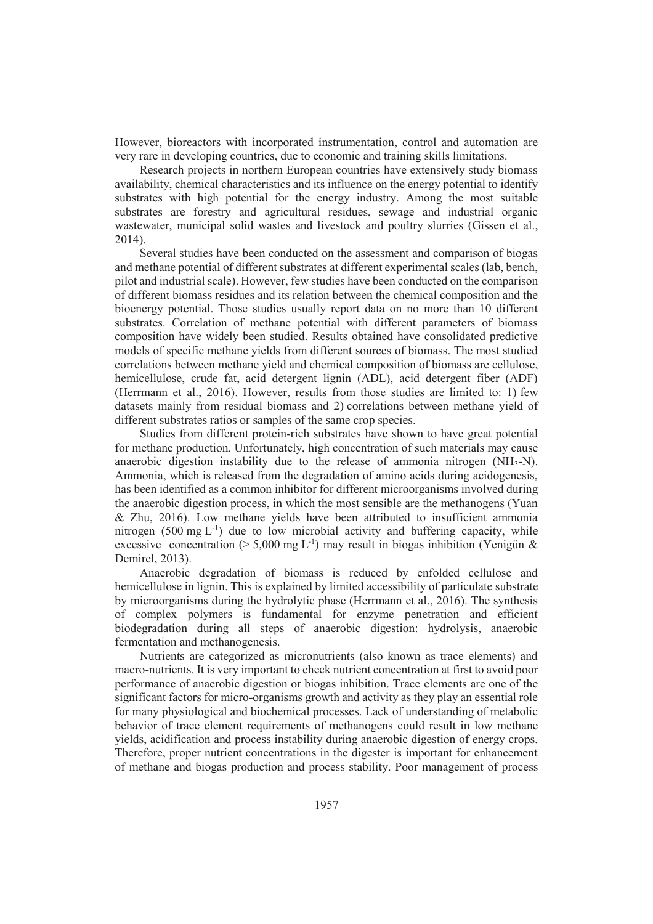However, bioreactors with incorporated instrumentation, control and automation are very rare in developing countries, due to economic and training skills limitations.

Research projects in northern European countries have extensively study biomass availability, chemical characteristics and its influence on the energy potential to identify substrates with high potential for the energy industry. Among the most suitable substrates are forestry and agricultural residues, sewage and industrial organic wastewater, municipal solid wastes and livestock and poultry slurries (Gissen et al., 2014).

Several studies have been conducted on the assessment and comparison of biogas and methane potential of different substrates at different experimental scales (lab, bench, pilot and industrial scale). However, few studies have been conducted on the comparison of different biomass residues and its relation between the chemical composition and the bioenergy potential. Those studies usually report data on no more than 10 different substrates. Correlation of methane potential with different parameters of biomass composition have widely been studied. Results obtained have consolidated predictive models of specific methane yields from different sources of biomass. The most studied correlations between methane yield and chemical composition of biomass are cellulose, hemicellulose, crude fat, acid detergent lignin (ADL), acid detergent fiber (ADF) (Herrmann et al., 2016). However, results from those studies are limited to: 1) few datasets mainly from residual biomass and 2) correlations between methane yield of different substrates ratios or samples of the same crop species.

Studies from different protein-rich substrates have shown to have great potential for methane production. Unfortunately, high concentration of such materials may cause anaerobic digestion instability due to the release of ammonia nitrogen  $(NH_3-N)$ . Ammonia, which is released from the degradation of amino acids during acidogenesis, has been identified as a common inhibitor for different microorganisms involved during the anaerobic digestion process, in which the most sensible are the methanogens (Yuan & Zhu, 2016). Low methane yields have been attributed to insufficient ammonia nitrogen  $(500 \text{ mg } L^{-1})$  due to low microbial activity and buffering capacity, while excessive concentration ( $> 5,000$  mg L<sup>-1</sup>) may result in biogas inhibition (Yenigün & Demirel, 2013).

Anaerobic degradation of biomass is reduced by enfolded cellulose and hemicellulose in lignin. This is explained by limited accessibility of particulate substrate by microorganisms during the hydrolytic phase (Herrmann et al., 2016). The synthesis of complex polymers is fundamental for enzyme penetration and efficient biodegradation during all steps of anaerobic digestion: hydrolysis, anaerobic fermentation and methanogenesis.

Nutrients are categorized as micronutrients (also known as trace elements) and macro-nutrients. It is very important to check nutrient concentration at first to avoid poor performance of anaerobic digestion or biogas inhibition. Trace elements are one of the significant factors for micro-organisms growth and activity as they play an essential role for many physiological and biochemical processes. Lack of understanding of metabolic behavior of trace element requirements of methanogens could result in low methane yields, acidification and process instability during anaerobic digestion of energy crops. Therefore, proper nutrient concentrations in the digester is important for enhancement of methane and biogas production and process stability. Poor management of process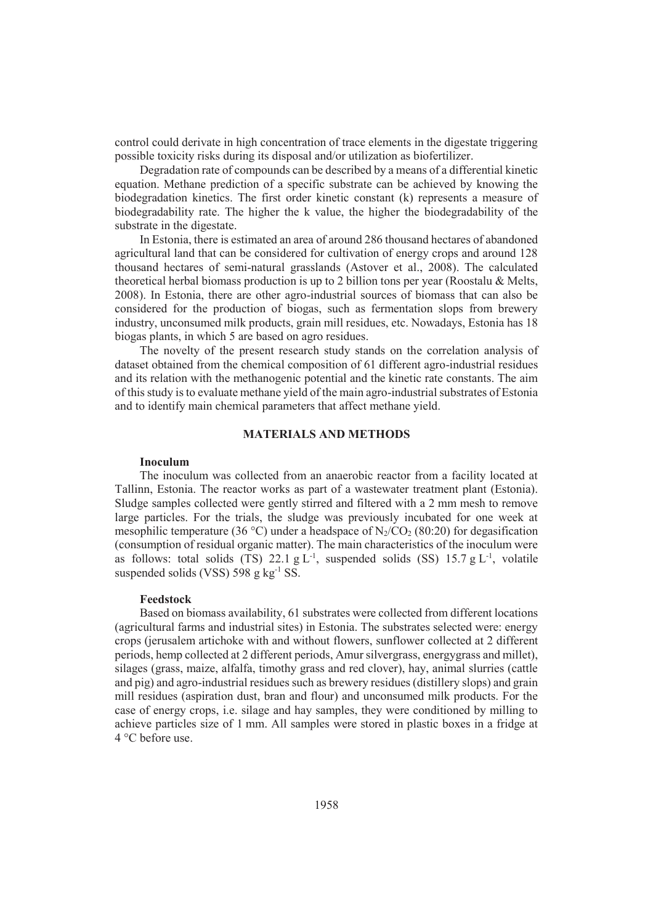control could derivate in high concentration of trace elements in the digestate triggering possible toxicity risks during its disposal and/or utilization as biofertilizer.

Degradation rate of compounds can be described by a means of a differential kinetic equation. Methane prediction of a specific substrate can be achieved by knowing the biodegradation kinetics. The first order kinetic constant (k) represents a measure of biodegradability rate. The higher the k value, the higher the biodegradability of the substrate in the digestate.

In Estonia, there is estimated an area of around 286 thousand hectares of abandoned agricultural land that can be considered for cultivation of energy crops and around 128 thousand hectares of semi-natural grasslands (Astover et al., 2008). The calculated theoretical herbal biomass production is up to 2 billion tons per year (Roostalu & Melts, 2008). In Estonia, there are other agro-industrial sources of biomass that can also be considered for the production of biogas, such as fermentation slops from brewery industry, unconsumed milk products, grain mill residues, etc. Nowadays, Estonia has 18 biogas plants, in which 5 are based on agro residues.

The novelty of the present research study stands on the correlation analysis of dataset obtained from the chemical composition of 61 different agro-industrial residues and its relation with the methanogenic potential and the kinetic rate constants. The aim of this study is to evaluate methane yield of the main agro-industrial substrates of Estonia and to identify main chemical parameters that affect methane yield.

# **MATERIALS AND METHODS**

# **Inoculum**

The inoculum was collected from an anaerobic reactor from a facility located at Tallinn, Estonia. The reactor works as part of a wastewater treatment plant (Estonia). Sludge samples collected were gently stirred and filtered with a 2 mm mesh to remove large particles. For the trials, the sludge was previously incubated for one week at mesophilic temperature (36 °C) under a headspace of  $N_2$ /CO<sub>2</sub> (80:20) for degasification (consumption of residual organic matter). The main characteristics of the inoculum were as follows: total solids (TS) 22.1 g  $L^{-1}$ , suspended solids (SS) 15.7 g  $L^{-1}$ , volatile suspended solids (VSS)  $598 \text{ g kg}^{-1}$  SS.

#### **Feedstock**

Based on biomass availability, 61 substrates were collected from different locations (agricultural farms and industrial sites) in Estonia. The substrates selected were: energy crops (jerusalem artichoke with and without flowers, sunflower collected at 2 different periods, hemp collected at 2 different periods, Amur silvergrass, energygrass and millet), silages (grass, maize, alfalfa, timothy grass and red clover), hay, animal slurries (cattle and pig) and agro-industrial residues such as brewery residues (distillery slops) and grain mill residues (aspiration dust, bran and flour) and unconsumed milk products. For the case of energy crops, i.e. silage and hay samples, they were conditioned by milling to achieve particles size of 1 mm. All samples were stored in plastic boxes in a fridge at 4 °C before use.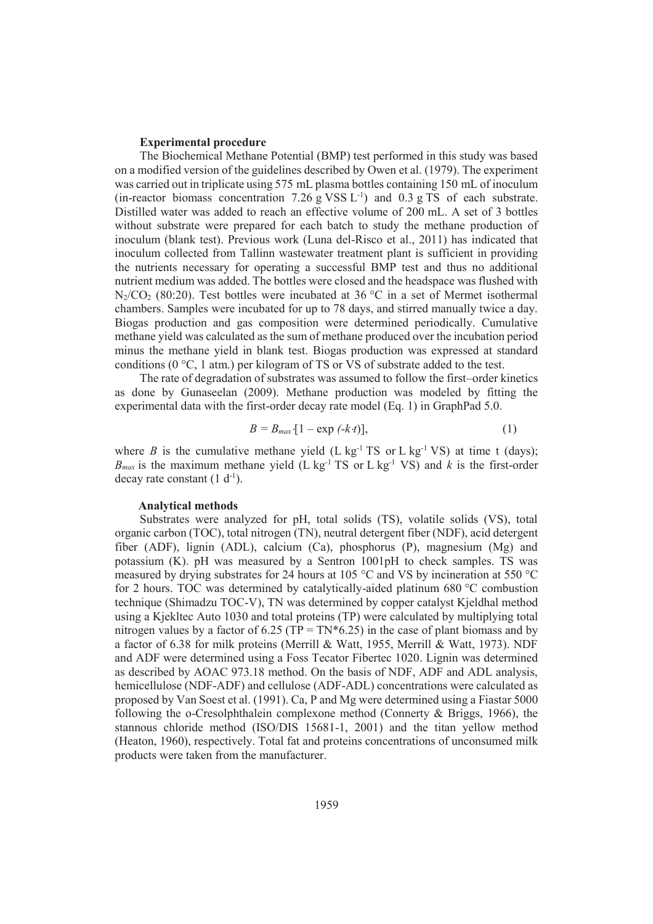## **Experimental procedure**

The Biochemical Methane Potential (BMP) test performed in this study was based on a modified version of the guidelines described by Owen et al. (1979). The experiment was carried out in triplicate using 575 mL plasma bottles containing 150 mL of inoculum (in-reactor biomass concentration  $7.26 \text{ g VSS L}^{-1}$ ) and  $0.3 \text{ g TS of each substrate.}$ Distilled water was added to reach an effective volume of 200 mL. A set of 3 bottles without substrate were prepared for each batch to study the methane production of inoculum (blank test). Previous work (Luna del-Risco et al., 2011) has indicated that inoculum collected from Tallinn wastewater treatment plant is sufficient in providing the nutrients necessary for operating a successful BMP test and thus no additional nutrient medium was added. The bottles were closed and the headspace was flushed with  $N_2/CO_2$  (80:20). Test bottles were incubated at 36 °C in a set of Mermet isothermal chambers. Samples were incubated for up to 78 days, and stirred manually twice a day. Biogas production and gas composition were determined periodically. Cumulative methane yield was calculated as the sum of methane produced over the incubation period minus the methane yield in blank test. Biogas production was expressed at standard conditions (0 °C, 1 atm.) per kilogram of TS or VS of substrate added to the test.

The rate of degradation of substrates was assumed to follow the first–order kinetics as done by Gunaseelan (2009). Methane production was modeled by fitting the experimental data with the first-order decay rate model (Eq. 1) in GraphPad 5.0.

$$
B = B_{\text{max}} \left[ 1 - \exp\left(-k \cdot t\right) \right],\tag{1}
$$

where *B* is the cumulative methane yield  $(L \log^{-1} TS \text{ or } L \log^{-1} VS)$  at time t (days);  $B_{max}$  is the maximum methane yield (L kg<sup>-1</sup> TS or L kg<sup>-1</sup> VS) and *k* is the first-order decay rate constant  $(1 d^{-1})$ .

## **Analytical methods**

Substrates were analyzed for pH, total solids (TS), volatile solids (VS), total organic carbon (TOC), total nitrogen (TN), neutral detergent fiber (NDF), acid detergent fiber (ADF), lignin (ADL), calcium (Ca), phosphorus (P), magnesium (Mg) and potassium (K). pH was measured by a Sentron 1001pH to check samples. TS was measured by drying substrates for 24 hours at 105 °C and VS by incineration at 550 °C for 2 hours. TOC was determined by catalytically-aided platinum 680 °C combustion technique (Shimadzu TOC-V), TN was determined by copper catalyst Kjeldhal method using a Kjekltec Auto 1030 and total proteins (TP) were calculated by multiplying total nitrogen values by a factor of 6.25 (TP = TN $*6.25$ ) in the case of plant biomass and by a factor of 6.38 for milk proteins (Merrill & Watt, 1955, Merrill & Watt, 1973). NDF and ADF were determined using a Foss Tecator Fibertec 1020. Lignin was determined as described by AOAC 973.18 method. On the basis of NDF, ADF and ADL analysis, hemicellulose (NDF-ADF) and cellulose (ADF-ADL) concentrations were calculated as proposed by Van Soest et al. (1991). Ca, P and Mg were determined using a Fiastar 5000 following the o-Cresolphthalein complexone method (Connerty & Briggs, 1966), the stannous chloride method (ISO/DIS 15681-1, 2001) and the titan yellow method (Heaton, 1960), respectively. Total fat and proteins concentrations of unconsumed milk products were taken from the manufacturer.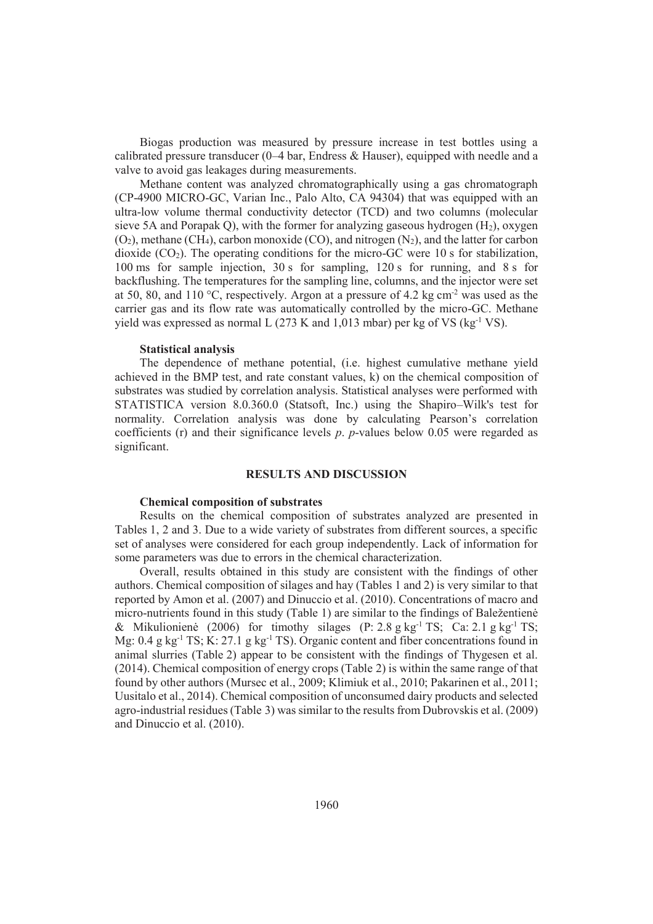Biogas production was measured by pressure increase in test bottles using a calibrated pressure transducer  $(0-4 \text{ bar}, \text{Endress} \& \text{Hauser}),$  equipped with needle and a valve to avoid gas leakages during measurements.

Methane content was analyzed chromatographically using a gas chromatograph (CP-4900 MICRO-GC, Varian Inc., Palo Alto, CA 94304) that was equipped with an ultra-low volume thermal conductivity detector (TCD) and two columns (molecular sieve 5A and Porapak Q), with the former for analyzing gaseous hydrogen  $(H<sub>2</sub>)$ , oxygen  $(O<sub>2</sub>)$ , methane (CH<sub>4</sub>), carbon monoxide (CO), and nitrogen  $(N<sub>2</sub>)$ , and the latter for carbon dioxide  $(CO<sub>2</sub>)$ . The operating conditions for the micro-GC were 10 s for stabilization, 100 ms for sample injection, 30 s for sampling, 120 s for running, and 8 s for backflushing. The temperatures for the sampling line, columns, and the injector were set at 50, 80, and 110 °C, respectively. Argon at a pressure of 4.2 kg cm<sup>-2</sup> was used as the carrier gas and its flow rate was automatically controlled by the micro-GC. Methane yield was expressed as normal L  $(273 \text{ K and } 1.013 \text{ mbar})$  per kg of VS  $(kg^{-1}VS)$ .

#### **Statistical analysis**

The dependence of methane potential, (i.e. highest cumulative methane yield achieved in the BMP test, and rate constant values, k) on the chemical composition of substrates was studied by correlation analysis. Statistical analyses were performed with STATISTICA version 8.0.360.0 (Statsoft, Inc.) using the Shapiro–Wilk's test for normality. Correlation analysis was done by calculating Pearson's correlation coefficients (r) and their significance levels *p*. *p*-values below 0.05 were regarded as significant.

# **RESULTS AND DISCUSSION**

# **Chemical composition of substrates**

Results on the chemical composition of substrates analyzed are presented in Tables 1, 2 and 3. Due to a wide variety of substrates from different sources, a specific set of analyses were considered for each group independently. Lack of information for some parameters was due to errors in the chemical characterization.

Overall, results obtained in this study are consistent with the findings of other authors. Chemical composition of silages and hay (Tables 1 and 2) is very similar to that reported by Amon et al. (2007) and Dinuccio et al. (2010). Concentrations of macro and micro-nutrients found in this study (Table 1) are similar to the findings of Baležentienė & Mikulionienė (2006) for timothy silages (P: 2.8 g kg<sup>-1</sup> TS; Ca: 2.1 g kg<sup>-1</sup> TS; Mg: 0.4 g kg<sup>-1</sup> TS; K: 27.1 g kg<sup>-1</sup> TS). Organic content and fiber concentrations found in animal slurries (Table 2) appear to be consistent with the findings of Thygesen et al. (2014). Chemical composition of energy crops (Table 2) is within the same range of that found by other authors (Mursec et al., 2009; Klimiuk et al., 2010; Pakarinen et al., 2011; Uusitalo et al., 2014). Chemical composition of unconsumed dairy products and selected agro-industrial residues (Table 3) was similar to the results from Dubrovskis et al. (2009) and Dinuccio et al. (2010).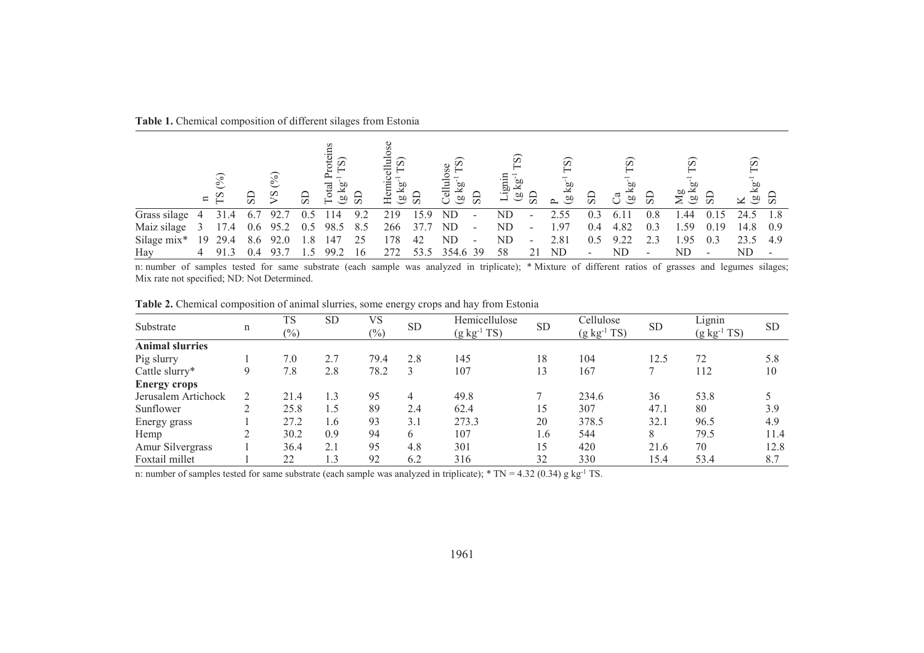| <b>Table 1.</b> Chemical composition of different silages from Estonia |  |  |  |  |  |  |
|------------------------------------------------------------------------|--|--|--|--|--|--|
|------------------------------------------------------------------------|--|--|--|--|--|--|

|                             |   | ಲ<br>$\Xi$ | $_{\rm SD}$ | $\circ$<br>$S\lambda$ | $\overline{S}$ |              | ු පු | S<br>킁<br>Hemi<br>ρО<br><u>ය ස</u> |      | Cellul<br>ळ<br>बर्<br>ã, | $_{\rm SD}$              | ာ<br>$\frac{60}{2}$ |                          | $\widehat{\infty}$<br>$\overline{\mathbf{g}}$<br>$\omega$ | $_{\rm SD}$ | ၵ<br>ී ම   | $_{\rm{S}}$ | $\widehat{\infty}$<br>$\overline{M}$<br><u>ය ස</u> |      | စ<br>$\times$ $\frac{5}{20}$ |     |
|-----------------------------|---|------------|-------------|-----------------------|----------------|--------------|------|------------------------------------|------|--------------------------|--------------------------|---------------------|--------------------------|-----------------------------------------------------------|-------------|------------|-------------|----------------------------------------------------|------|------------------------------|-----|
| Grass silage 4              |   | 31.4       | - 6.7       | 92.7                  | 0.5            | 14           | 9.2  | 219                                | 15.9 | ND                       | $\overline{\phantom{a}}$ | ${\rm ND}$          | $\overline{\phantom{a}}$ | 2.55                                                      | 0.3         | -61        | 0.8         | .44                                                | 0.15 | 24.5                         | 1.8 |
| Maiz silage 3 17.4 0.6 95.2 |   |            |             |                       |                | 0.5 98.5 8.5 |      | 266                                | 37.7 | ND                       | $\sim$                   | ND.                 | $\overline{\phantom{a}}$ | 1.97                                                      | 0.4         | 4.82       | 0.3         | 1.59                                               | 0.19 | 14.8                         | 0.9 |
| Silage mix* $19$ 29.4       |   |            |             | 8.6 92.0              | 1.8            | 147          | 25   | 178                                | 42   | ND                       | $\overline{\phantom{a}}$ | ND                  | $\overline{\phantom{a}}$ | 2.81                                                      | 0.5         | 9.22       | 2.3         | 1.95                                               | 0.3  | 23.5                         | 4.9 |
| Hay                         | 4 |            |             |                       |                | 99.2         | -16  |                                    | 53.5 | 354.6 39                 |                          | 58                  |                          | ND                                                        | ۰.          | ${\rm ND}$ |             | ND                                                 |      | ND                           |     |

Hay 4 91.3 0.4 93.7 1.5 99.2 16 272 53.5 354.6 39 58 21 ND - ND - ND - ND - ND - ND -<br>n: number of samples tested for same substrate (each sample was analyzed in triplicate); \* Mixture of different ratios of grasses and le

|                        |                                                                                      | <b>TS</b> | <b>SD</b> | VS            |           | Hemicellulose    |           | Cellulose |      | Lignin |      |
|------------------------|--------------------------------------------------------------------------------------|-----------|-----------|---------------|-----------|------------------|-----------|-----------|------|--------|------|
| Substrate              | <b>SD</b><br><b>SD</b><br>n<br>$(g kg-1 TS)$<br>$(\%)$<br>$\left(\frac{0}{0}\right)$ |           |           | $(g kg-1 TS)$ | <b>SD</b> | $(g kg^{-1} TS)$ | <b>SD</b> |           |      |        |      |
| <b>Animal slurries</b> |                                                                                      |           |           |               |           |                  |           |           |      |        |      |
| Pig slurry             |                                                                                      | 7.0       | 2.7       | 79.4          | 2.8       | 145              | 18        | 104       | 12.5 | 72     | 5.8  |
| Cattle slurry*         | 9                                                                                    | 7.8       | 2.8       | 78.2          | 3         | 107              | 13        | 167       |      | 112    | 10   |
| <b>Energy crops</b>    |                                                                                      |           |           |               |           |                  |           |           |      |        |      |
| Jerusalem Artichock    |                                                                                      | 21.4      | 1.3       | 95            | 4         | 49.8             |           | 234.6     | 36   | 53.8   |      |
| Sunflower              | $\gamma$                                                                             | 25.8      | 1.5       | 89            | 2.4       | 62.4             | 15        | 307       | 47.1 | 80     | 3.9  |
| Energy grass           |                                                                                      | 27.2      | 1.6       | 93            | 3.1       | 273.3            | 20        | 378.5     | 32.1 | 96.5   | 4.9  |
| Hemp                   |                                                                                      | 30.2      | 0.9       | 94            | 6         | 107              | 1.6       | 544       | 8    | 79.5   | 11.4 |
| Amur Silvergrass       |                                                                                      | 36.4      | 2.1       | 95            | 4.8       | 301              | 15        | 420       | 21.6 | 70     | 12.8 |
| Foxtail millet         |                                                                                      | 22        | 1.3       | 92            | 6.2       | 316              | 32        | 330       | 15.4 | 53.4   | 8.7  |

**Table 2.** Chemical composition of animal slurries, some energy crops and hay from Estonia

n: number of samples tested for same substrate (each sample was analyzed in triplicate);  $*$  TN = 4.32 (0.34) g kg<sup>-1</sup> TS.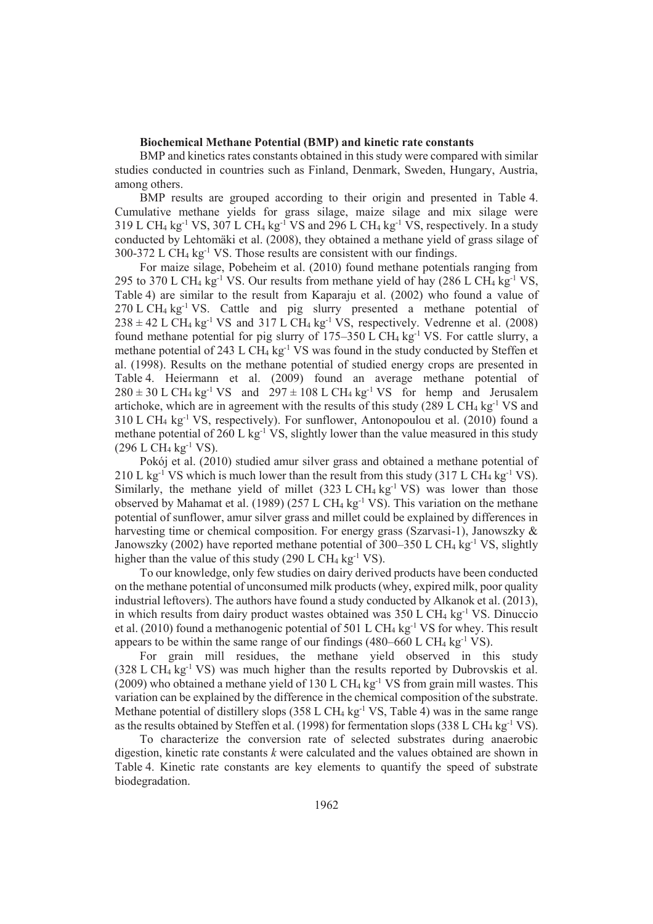# **Biochemical Methane Potential (BMP) and kinetic rate constants**

BMP and kinetics rates constants obtained in this study were compared with similar studies conducted in countries such as Finland, Denmark, Sweden, Hungary, Austria, among others.

BMP results are grouped according to their origin and presented in Table 4. Cumulative methane yields for grass silage, maize silage and mix silage were 319 L CH<sub>4</sub> kg<sup>-1</sup> VS, 307 L CH<sub>4</sub> kg<sup>-1</sup> VS and 296 L CH<sub>4</sub> kg<sup>-1</sup> VS, respectively. In a study conducted by Lehtomäki et al. (2008), they obtained a methane yield of grass silage of  $300-372$  L CH<sub>4</sub> kg<sup>-1</sup> VS. Those results are consistent with our findings.

For maize silage, Pobeheim et al. (2010) found methane potentials ranging from 295 to 370 L CH<sub>4</sub> kg<sup>-1</sup> VS. Our results from methane yield of hay (286 L CH<sub>4</sub> kg<sup>-1</sup> VS, Table 4) are similar to the result from Kaparaju et al. (2002) who found a value of  $270$  L CH<sub>4</sub> kg<sup>-1</sup> VS. Cattle and pig slurry presented a methane potential of  $238 \pm 42$  L CH<sub>4</sub> kg<sup>-1</sup> VS and 317 L CH<sub>4</sub> kg<sup>-1</sup> VS, respectively. Vedrenne et al. (2008) found methane potential for pig slurry of  $175-350$  L CH<sub>4</sub> kg<sup>-1</sup> VS. For cattle slurry, a methane potential of 243 L CH<sub>4</sub> kg<sup>-1</sup> VS was found in the study conducted by Steffen et al. (1998). Results on the methane potential of studied energy crops are presented in Table 4. Heiermann et al. (2009) found an average methane potential of  $280 \pm 30$  L CH<sub>4</sub> kg<sup>-1</sup> VS and  $297 \pm 108$  L CH<sub>4</sub> kg<sup>-1</sup> VS for hemp and Jerusalem artichoke, which are in agreement with the results of this study (289 L CH $_4$  kg<sup>-1</sup> VS and  $310$  L CH<sub>4</sub> kg<sup>-1</sup> VS, respectively). For sunflower, Antonopoulou et al. (2010) found a methane potential of 260 L kg<sup>-1</sup> VS, slightly lower than the value measured in this study  $(296$  L CH<sub>4</sub> kg<sup>-1</sup> VS).

Pokój et al. (2010) studied amur silver grass and obtained a methane potential of 210 L kg<sup>-1</sup> VS which is much lower than the result from this study (317 L CH<sub>4</sub> kg<sup>-1</sup> VS). Similarly, the methane yield of millet  $(323 \text{ L CH}_4 \text{ kg}^{-1} \text{ VS})$  was lower than those observed by Mahamat et al. (1989) (257 L CH<sub>4</sub> kg<sup>-1</sup> VS). This variation on the methane potential of sunflower, amur silver grass and millet could be explained by differences in harvesting time or chemical composition. For energy grass (Szarvasi-1), Janowszky & Janowszky (2002) have reported methane potential of 300–350 L CH<sub>4</sub> kg<sup>-1</sup> VS, slightly higher than the value of this study (290 L CH<sub>4</sub> kg<sup>-1</sup> VS).

To our knowledge, only few studies on dairy derived products have been conducted on the methane potential of unconsumed milk products (whey, expired milk, poor quality industrial leftovers). The authors have found a study conducted by Alkanok et al. (2013), in which results from dairy product wastes obtained was  $350 \text{ L } CH_4 \text{ kg}^{-1} \text{ VS}$ . Dinuccio et al. (2010) found a methanogenic potential of 501 L CH4 kg-1 VS for whey. This result appears to be within the same range of our findings  $(480-660 \text{ L CH}_4 \text{ kg}^{-1} \text{ VS})$ .

For grain mill residues, the methane yield observed in this study  $(328 \text{ L CH}_4 \text{ kg}^{-1} \text{ VS})$  was much higher than the results reported by Dubrovskis et al. (2009) who obtained a methane yield of 130 L CH<sub>4</sub> kg<sup>-1</sup> VS from grain mill wastes. This variation can be explained by the difference in the chemical composition of the substrate. Methane potential of distillery slops (358 L CH<sub>4</sub> kg<sup>-1</sup> VS, Table 4) was in the same range as the results obtained by Steffen et al. (1998) for fermentation slops (338 L CH<sub>4</sub> kg<sup>-1</sup> VS).

To characterize the conversion rate of selected substrates during anaerobic digestion, kinetic rate constants *k* were calculated and the values obtained are shown in Table 4. Kinetic rate constants are key elements to quantify the speed of substrate biodegradation.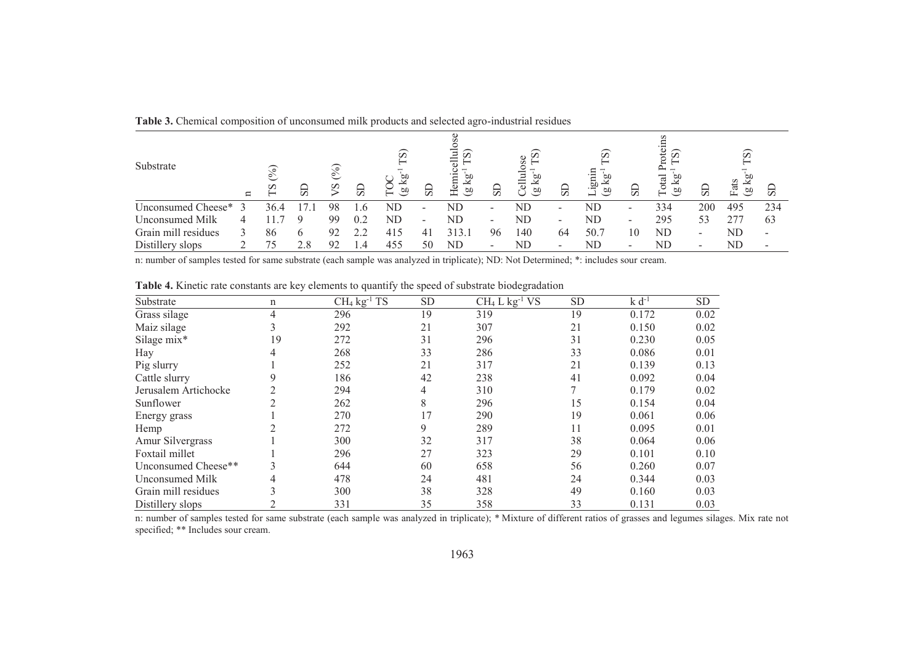| Substrate              | $\Box$ | s    | 51  | $\widehat{\circ}$<br>$\sim$<br>$^{2}$ | $_{\rm{SD}}$  | $\widehat{\infty}$<br>æ<br>$\widehat{\mathcal{P}}$<br>ー | $_{\rm{S}}$              | ω<br>ョ<br>Ω<br>귺<br>Hemi<br><u>ଅ</u><br>$\widehat{\mathfrak{g}}$ | $_{\rm SD}$              | $\circ$<br>Ō<br>σО<br>긍<br>ρÚ<br>(1) | 51                       | $\widehat{\infty}$<br>СIJ<br>6D<br><sub>o</sub> n | $_{\rm SD}$              | ns<br>σ<br>ಸ<br>СIJ<br>න<br>⊢ | $_{\rm SD}$              | [S]<br>Fats<br>⊻<br>60 | $\overline{\omega}$      |
|------------------------|--------|------|-----|---------------------------------------|---------------|---------------------------------------------------------|--------------------------|------------------------------------------------------------------|--------------------------|--------------------------------------|--------------------------|---------------------------------------------------|--------------------------|-------------------------------|--------------------------|------------------------|--------------------------|
| Unconsumed Cheese*     |        | 36.4 |     | 98                                    | .6            | ND                                                      | $\overline{\phantom{0}}$ | ND                                                               | -                        | ND                                   | $\overline{\phantom{a}}$ | ND                                                | $\overline{\phantom{a}}$ | 334                           | 200                      | 495                    | 234                      |
| <b>Unconsumed Milk</b> | 4      |      |     | 99                                    | 0.2           | ND                                                      | $\overline{\phantom{0}}$ | ND                                                               | $\overline{\phantom{0}}$ | ND                                   | $\overline{\phantom{a}}$ | ND                                                | $\overline{\phantom{a}}$ | 295                           | 53                       | 277                    | 63                       |
| Grain mill residues    |        | 86   |     | 92                                    | うつ            | 415                                                     |                          | 313.1                                                            | 96                       | 140                                  | 64                       | 50.7                                              | 10                       | ND                            | $\overline{\phantom{a}}$ | ND                     | $\overline{\phantom{a}}$ |
| Distillery slops       |        |      | 2.8 | $\Omega$                              | $\mathcal{A}$ | 455                                                     | 50                       | ND                                                               |                          | ND                                   | $\overline{\phantom{a}}$ | ND                                                | $\overline{\phantom{a}}$ | ND                            | $\overline{\phantom{0}}$ | ND                     |                          |

**Table 3.** Chemical composition of unconsumed milk products and selected agro-industrial residues

n: number of samples tested for same substrate (each sample was analyzed in triplicate); ND: Not Determined; \*: includes sour cream.

| Substrate              | n  | $CH4$ kg <sup>-1</sup> TS | <b>SD</b> | $CH4 L kg-1 VS$ | <b>SD</b> | $k d^{-1}$ | <b>SD</b> |
|------------------------|----|---------------------------|-----------|-----------------|-----------|------------|-----------|
| Grass silage           | 4  | 296                       | 19        | 319             | 19        | 0.172      | 0.02      |
| Maiz silage            |    | 292                       | 21        | 307             | 21        | 0.150      | 0.02      |
| Silage mix*            | 19 | 272                       | 31        | 296             | 31        | 0.230      | 0.05      |
| Hay                    |    | 268                       | 33        | 286             | 33        | 0.086      | 0.01      |
| Pig slurry             |    | 252                       | 21        | 317             | 21        | 0.139      | 0.13      |
| Cattle slurry          |    | 186                       | 42        | 238             | 41        | 0.092      | 0.04      |
| Jerusalem Artichocke   |    | 294                       | 4         | 310             |           | 0.179      | 0.02      |
| Sunflower              |    | 262                       | 8         | 296             | 15        | 0.154      | 0.04      |
| Energy grass           |    | 270                       | 17        | 290             | 19        | 0.061      | 0.06      |
| Hemp                   |    | 272                       | 9         | 289             | 11        | 0.095      | 0.01      |
| Amur Silvergrass       |    | 300                       | 32        | 317             | 38        | 0.064      | 0.06      |
| Foxtail millet         |    | 296                       | 27        | 323             | 29        | 0.101      | 0.10      |
| Unconsumed Cheese**    |    | 644                       | 60        | 658             | 56        | 0.260      | 0.07      |
| <b>Unconsumed Milk</b> |    | 478                       | 24        | 481             | 24        | 0.344      | 0.03      |
| Grain mill residues    |    | 300                       | 38        | 328             | 49        | 0.160      | 0.03      |
| Distillery slops       |    | 331                       | 35        | 358             | 33        | 0.131      | 0.03      |

**Table 4.** Kinetic rate constants are key elements to quantify the speed of substrate biodegradation

Distillery slops 2 331 35 358 33 0.131 0.03<br>n: number of samples tested for same substrate (each sample was analyzed in triplicate); \* Mixture of different ratios of grasses and legumes silages. Mix rate not specified; \*\*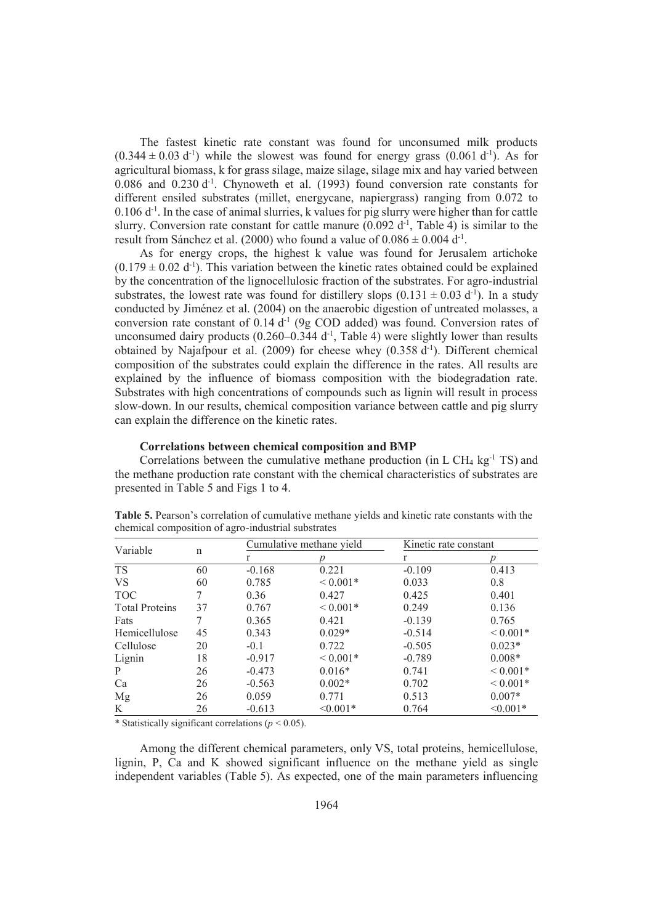The fastest kinetic rate constant was found for unconsumed milk products  $(0.344 \pm 0.03 \text{ d}^{-1})$  while the slowest was found for energy grass  $(0.061 \text{ d}^{-1})$ . As for agricultural biomass, k for grass silage, maize silage, silage mix and hay varied between  $0.086$  and  $0.230$  d<sup>-1</sup>. Chynoweth et al. (1993) found conversion rate constants for different ensiled substrates (millet, energycane, napiergrass) ranging from 0.072 to  $0.106$  d<sup>-1</sup>. In the case of animal slurries, k values for pig slurry were higher than for cattle slurry. Conversion rate constant for cattle manure  $(0.092 \text{ d}^{-1}, 1)$ , Table 4) is similar to the result from Sánchez et al. (2000) who found a value of  $0.086 \pm 0.004$  d<sup>-1</sup>.

As for energy crops, the highest k value was found for Jerusalem artichoke  $(0.179 \pm 0.02 \text{ d}^{\text{-1}})$ . This variation between the kinetic rates obtained could be explained by the concentration of the lignocellulosic fraction of the substrates. For agro-industrial substrates, the lowest rate was found for distillery slops  $(0.131 \pm 0.03 \text{ d}^{\text{-}1})$ . In a study conducted by Jiménez et al. (2004) on the anaerobic digestion of untreated molasses, a conversion rate constant of  $0.14 d<sup>-1</sup>$  (9g COD added) was found. Conversion rates of unconsumed dairy products  $(0.260-0.344 d^{-1})$ , Table 4) were slightly lower than results obtained by Najafpour et al. (2009) for cheese whey  $(0.358 d^{-1})$ . Different chemical composition of the substrates could explain the difference in the rates. All results are explained by the influence of biomass composition with the biodegradation rate. Substrates with high concentrations of compounds such as lignin will result in process slow-down. In our results, chemical composition variance between cattle and pig slurry can explain the difference on the kinetic rates.

## **Correlations between chemical composition and BMP**

Correlations between the cumulative methane production (in  $L CH_4$  kg<sup>-1</sup> TS) and the methane production rate constant with the chemical characteristics of substrates are presented in Table 5 and Figs 1 to 4.

| Variable              |    |          | Cumulative methane yield | Kinetic rate constant |              |  |  |  |
|-----------------------|----|----------|--------------------------|-----------------------|--------------|--|--|--|
|                       | n  | r        |                          | r                     |              |  |  |  |
| <b>TS</b>             | 60 | $-0.168$ | 0.221                    | $-0.109$              | 0.413        |  |  |  |
| <b>VS</b>             | 60 | 0.785    | ${}< 0.001*$             | 0.033                 | 0.8          |  |  |  |
| <b>TOC</b>            |    | 0.36     | 0.427                    | 0.425                 | 0.401        |  |  |  |
| <b>Total Proteins</b> | 37 | 0.767    | ${}< 0.001*$             | 0.249                 | 0.136        |  |  |  |
| Fats                  |    | 0.365    | 0.421                    | $-0.139$              | 0.765        |  |  |  |
| Hemicellulose         | 45 | 0.343    | $0.029*$                 | $-0.514$              | ${}< 0.001*$ |  |  |  |
| Cellulose             | 20 | $-0.1$   | 0.722                    | $-0.505$              | $0.023*$     |  |  |  |
| Lignin                | 18 | $-0.917$ | ${}< 0.001*$             | $-0.789$              | $0.008*$     |  |  |  |
| P                     | 26 | $-0.473$ | $0.016*$                 | 0.741                 | ${}< 0.001*$ |  |  |  |
| Ca                    | 26 | $-0.563$ | $0.002*$                 | 0.702                 | ${}< 0.001*$ |  |  |  |
| Mg                    | 26 | 0.059    | 0.771                    | 0.513                 | $0.007*$     |  |  |  |
| K                     | 26 | $-0.613$ | $\leq 0.001*$            | 0.764                 | $< 0.001*$   |  |  |  |

**Table 5.** Pearson's correlation of cumulative methane yields and kinetic rate constants with the chemical composition of agro-industrial substrates

\* Statistically significant correlations (*p* < 0.05).

Among the different chemical parameters, only VS, total proteins, hemicellulose, lignin, P, Ca and K showed significant influence on the methane yield as single independent variables (Table 5). As expected, one of the main parameters influencing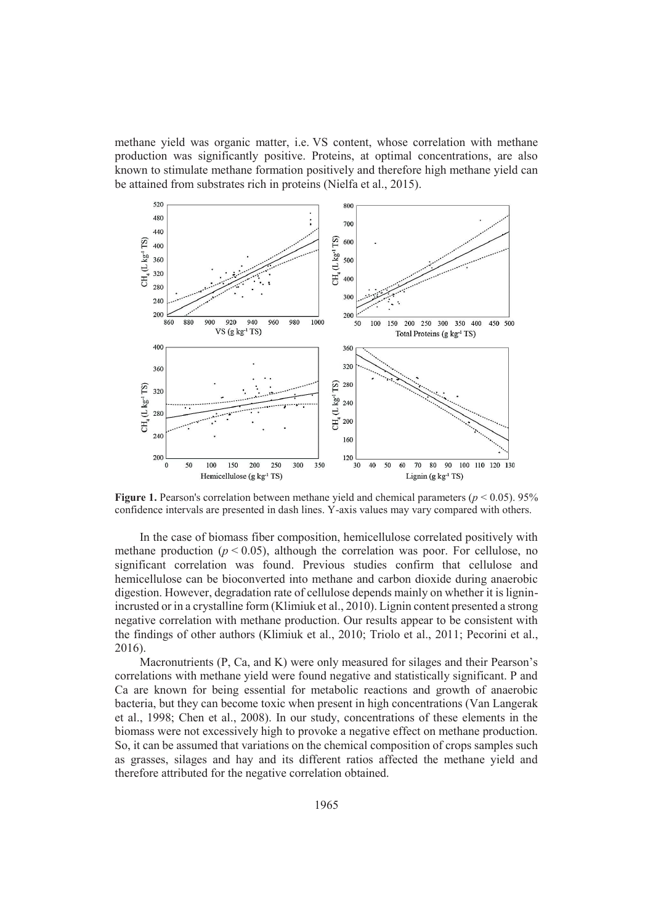methane yield was organic matter, i.e. VS content, whose correlation with methane production was significantly positive. Proteins, at optimal concentrations, are also known to stimulate methane formation positively and therefore high methane yield can be attained from substrates rich in proteins (Nielfa et al., 2015).



**Figure 1.** Pearson's correlation between methane yield and chemical parameters ( $p < 0.05$ ). 95% confidence intervals are presented in dash lines. Y-axis values may vary compared with others.

In the case of biomass fiber composition, hemicellulose correlated positively with methane production  $(p < 0.05)$ , although the correlation was poor. For cellulose, no significant correlation was found. Previous studies confirm that cellulose and hemicellulose can be bioconverted into methane and carbon dioxide during anaerobic digestion. However, degradation rate of cellulose depends mainly on whether it is ligninincrusted or in a crystalline form (Klimiuk et al., 2010). Lignin content presented a strong negative correlation with methane production. Our results appear to be consistent with the findings of other authors (Klimiuk et al., 2010; Triolo et al., 2011; Pecorini et al., 2016).

Macronutrients (P, Ca, and K) were only measured for silages and their Pearson's correlations with methane yield were found negative and statistically significant. P and Ca are known for being essential for metabolic reactions and growth of anaerobic bacteria, but they can become toxic when present in high concentrations (Van Langerak et al., 1998; Chen et al., 2008). In our study, concentrations of these elements in the biomass were not excessively high to provoke a negative effect on methane production. So, it can be assumed that variations on the chemical composition of crops samples such as grasses, silages and hay and its different ratios affected the methane yield and therefore attributed for the negative correlation obtained.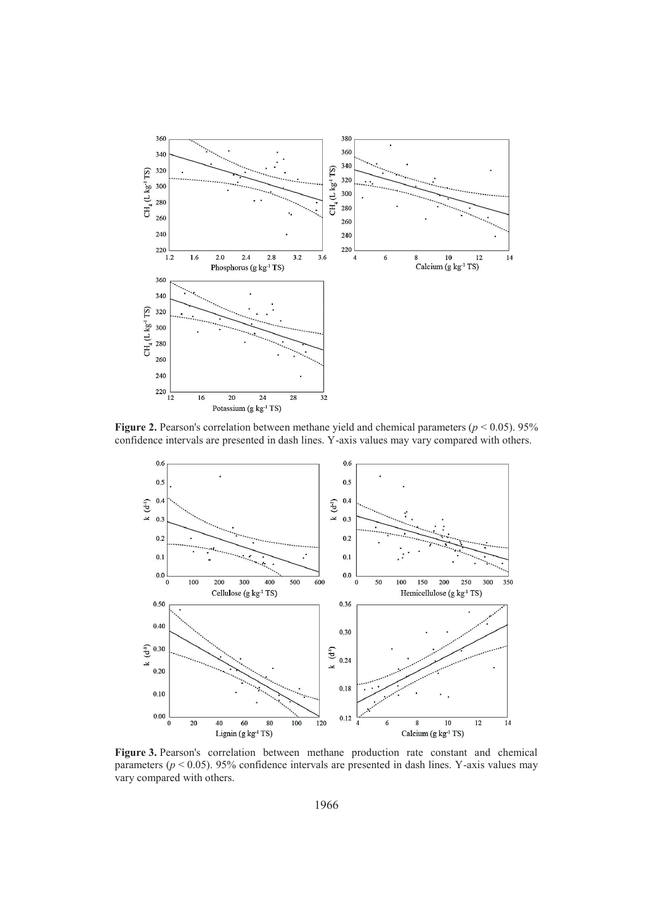

**Figure 2.** Pearson's correlation between methane yield and chemical parameters ( $p < 0.05$ ). 95% confidence intervals are presented in dash lines. Y-axis values may vary compared with others.



**Figure 3.** Pearson's correlation between methane production rate constant and chemical parameters (*p* < 0.05). 95% confidence intervals are presented in dash lines. Y-axis values may vary compared with others.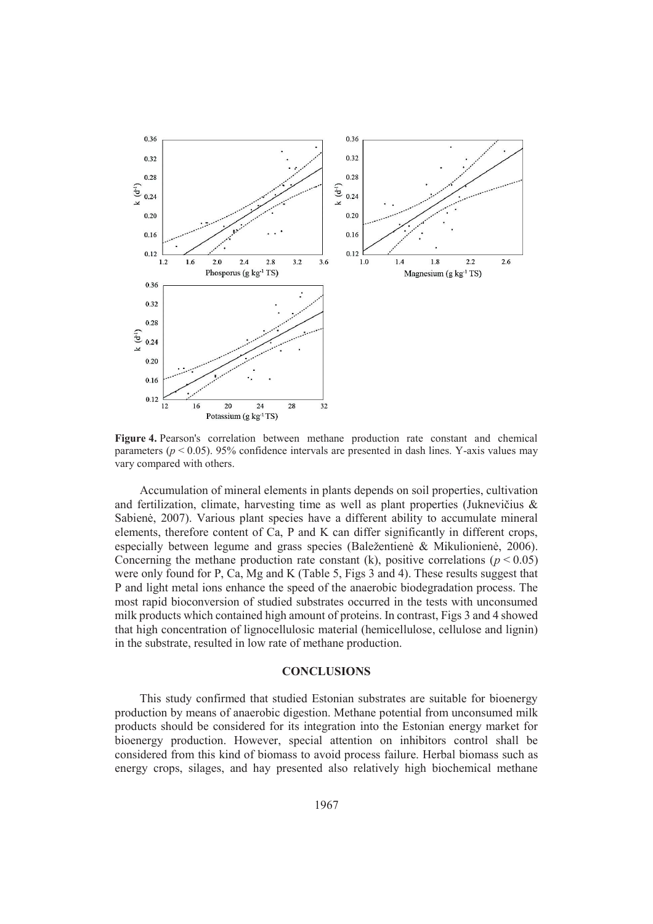

**Figure 4.** Pearson's correlation between methane production rate constant and chemical parameters ( $p < 0.05$ ). 95% confidence intervals are presented in dash lines. Y-axis values may vary compared with others.

Accumulation of mineral elements in plants depends on soil properties, cultivation and fertilization, climate, harvesting time as well as plant properties (Juknevičius & Sabienė, 2007). Various plant species have a different ability to accumulate mineral elements, therefore content of Ca, P and K can differ significantly in different crops, especially between legume and grass species (Baležentienė & Mikulionienė, 2006). Concerning the methane production rate constant (k), positive correlations ( $p < 0.05$ ) were only found for P, Ca, Mg and K (Table 5, Figs 3 and 4). These results suggest that P and light metal ions enhance the speed of the anaerobic biodegradation process. The most rapid bioconversion of studied substrates occurred in the tests with unconsumed milk products which contained high amount of proteins. In contrast, Figs 3 and 4 showed that high concentration of lignocellulosic material (hemicellulose, cellulose and lignin) in the substrate, resulted in low rate of methane production.

#### **CONCLUSIONS**

This study confirmed that studied Estonian substrates are suitable for bioenergy production by means of anaerobic digestion. Methane potential from unconsumed milk products should be considered for its integration into the Estonian energy market for bioenergy production. However, special attention on inhibitors control shall be considered from this kind of biomass to avoid process failure. Herbal biomass such as energy crops, silages, and hay presented also relatively high biochemical methane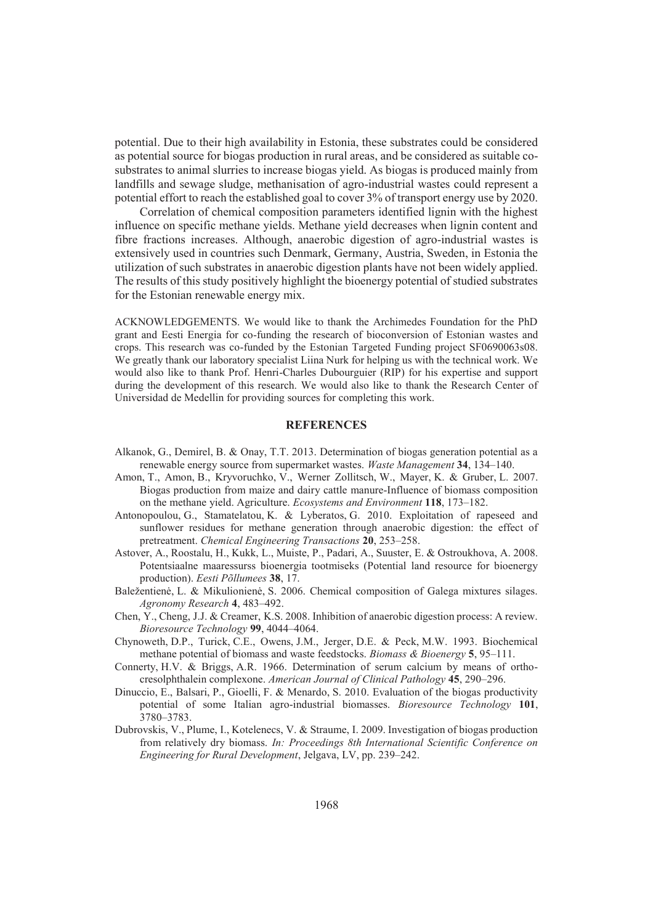potential. Due to their high availability in Estonia, these substrates could be considered as potential source for biogas production in rural areas, and be considered as suitable cosubstrates to animal slurries to increase biogas yield. As biogas is produced mainly from landfills and sewage sludge, methanisation of agro-industrial wastes could represent a potential effort to reach the established goal to cover 3% of transport energy use by 2020.

Correlation of chemical composition parameters identified lignin with the highest influence on specific methane yields. Methane yield decreases when lignin content and fibre fractions increases. Although, anaerobic digestion of agro-industrial wastes is extensively used in countries such Denmark, Germany, Austria, Sweden, in Estonia the utilization of such substrates in anaerobic digestion plants have not been widely applied. The results of this study positively highlight the bioenergy potential of studied substrates for the Estonian renewable energy mix.

ACKNOWLEDGEMENTS. We would like to thank the Archimedes Foundation for the PhD grant and Eesti Energia for co-funding the research of bioconversion of Estonian wastes and crops. This research was co-funded by the Estonian Targeted Funding project SF0690063s08. We greatly thank our laboratory specialist Liina Nurk for helping us with the technical work. We would also like to thank Prof. Henri-Charles Dubourguier (RIP) for his expertise and support during the development of this research. We would also like to thank the Research Center of Universidad de Medellin for providing sources for completing this work.

## **REFERENCES**

- Alkanok, G., Demirel, B. & Onay, T.T. 2013. Determination of biogas generation potential as a renewable energy source from supermarket wastes. *Waste Management* **34**, 134–140.
- Amon, T., Amon, B., Kryvoruchko, V., Werner Zollitsch, W., Mayer, K. & Gruber, L. 2007. Biogas production from maize and dairy cattle manure-Influence of biomass composition on the methane yield. Agriculture. *Ecosystems and Environment* **118**, 173–182.
- Antonopoulou, G., Stamatelatou, K. & Lyberatos, G. 2010. Exploitation of rapeseed and sunflower residues for methane generation through anaerobic digestion: the effect of pretreatment. *Chemical Engineering Transactions* **20**, 253–258.
- Astover, A., Roostalu, H., Kukk, L., Muiste, P., Padari, A., Suuster, E. & Ostroukhova, A. 2008. Potentsiaalne maaressurss bioenergia tootmiseks (Potential land resource for bioenergy production). *Eesti Põllumees* **38**, 17.
- Baležentienė, L. & Mikulionienė, S. 2006. Chemical composition of Galega mixtures silages. *Agronomy Research* **4**, 483–492.
- Chen, Y., Cheng, J.J. & Creamer, K.S. 2008. Inhibition of anaerobic digestion process: A review. *Bioresource Technology* **99**, 4044–4064.
- Chynoweth, D.P., Turick, C.E., Owens, J.M., Jerger, D.E. & Peck, M.W. 1993. Biochemical methane potential of biomass and waste feedstocks. *Biomass & Bioenergy* **5**, 95–111.
- Connerty, H.V. & Briggs, A.R. 1966. Determination of serum calcium by means of orthocresolphthalein complexone. *American Journal of Clinical Pathology* **45**, 290–296.
- Dinuccio, E., Balsari, P., Gioelli, F. & Menardo, S. 2010. Evaluation of the biogas productivity potential of some Italian agro-industrial biomasses. *Bioresource Technology* **101**, 3780–3783.
- Dubrovskis, V., Plume, I., Kotelenecs, V. & Straume, I. 2009. Investigation of biogas production from relatively dry biomass. *In: Proceedings 8th International Scientific Conference on Engineering for Rural Development*, Jelgava, LV, pp. 239–242.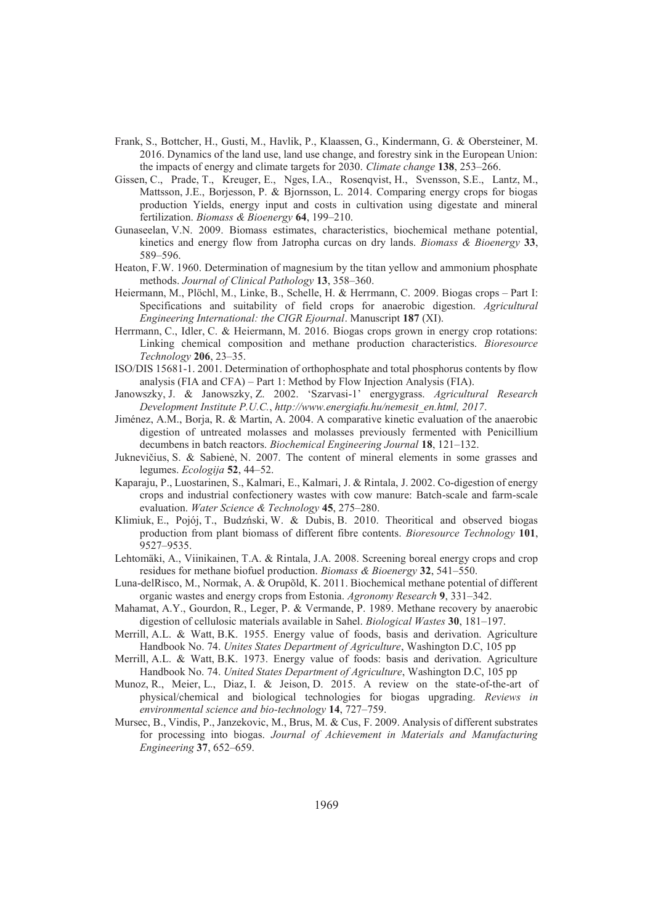- Frank, S., Bottcher, H., Gusti, M., Havlik, P., Klaassen, G., Kindermann, G. & Obersteiner, M. 2016. Dynamics of the land use, land use change, and forestry sink in the European Union: the impacts of energy and climate targets for 2030. *Climate change* **138**, 253–266.
- Gissen, C., Prade, T., Kreuger, E., Nges, I.A., Rosenqvist, H., Svensson, S.E., Lantz, M., Mattsson, J.E., Borjesson, P. & Bjornsson, L. 2014. Comparing energy crops for biogas production Yields, energy input and costs in cultivation using digestate and mineral fertilization. *Biomass & Bioenergy* **64**, 199–210.
- Gunaseelan, V.N. 2009. Biomass estimates, characteristics, biochemical methane potential, kinetics and energy flow from Jatropha curcas on dry lands. *Biomass & Bioenergy* **33**, 589–596.
- Heaton, F.W. 1960. Determination of magnesium by the titan yellow and ammonium phosphate methods. *Journal of Clinical Pathology* **13**, 358–360.
- Heiermann, M., Plöchl, M., Linke, B., Schelle, H. & Herrmann, C. 2009. Biogas crops Part I: Specifications and suitability of field crops for anaerobic digestion. *Agricultural Engineering International: the CIGR Ejournal*. Manuscript **187** (XI).
- Herrmann, C., Idler, C. & Heiermann, M. 2016. Biogas crops grown in energy crop rotations: Linking chemical composition and methane production characteristics. *Bioresource Technology* **206**, 23–35.
- ISO/DIS 15681-1. 2001. Determination of orthophosphate and total phosphorus contents by flow analysis (FIA and CFA) – Part 1: Method by Flow Injection Analysis (FIA).
- Janowszky, J. & Janowszky, Z. 2002. 'Szarvasi-1' energygrass. *Agricultural Research Development Institute P.U.C.*, *http://www.energiafu.hu/nemesit\_en.html, 2017*.
- Jiménez, A.M., Borja, R. & Martin, A. 2004. A comparative kinetic evaluation of the anaerobic digestion of untreated molasses and molasses previously fermented with Penicillium decumbens in batch reactors. *Biochemical Engineering Journal* **18**, 121–132.
- Juknevičius, S. & Sabienė, N. 2007. The content of mineral elements in some grasses and legumes. *Ecologija* **52**, 44–52.
- Kaparaju, P., Luostarinen, S., Kalmari, E., Kalmari, J. & Rintala, J. 2002. Co-digestion of energy crops and industrial confectionery wastes with cow manure: Batch-scale and farm-scale evaluation. *Water Science & Technology* **45**, 275–280.
- Klimiuk, E., Pojój, T., Budzński, W. & Dubis, B. 2010. Theoritical and observed biogas production from plant biomass of different fibre contents. *Bioresource Technology* **101**, 9527–9535.
- Lehtomäki, A., Viinikainen, T.A. & Rintala, J.A. 2008. Screening boreal energy crops and crop residues for methane biofuel production. *Biomass & Bioenergy* **32**, 541–550.
- Luna-delRisco, M., Normak, A. & Orupõld, K. 2011. Biochemical methane potential of different organic wastes and energy crops from Estonia. *Agronomy Research* **9**, 331–342.
- Mahamat, A.Y., Gourdon, R., Leger, P. & Vermande, P. 1989. Methane recovery by anaerobic digestion of cellulosic materials available in Sahel. *Biological Wastes* **30**, 181–197.
- Merrill, A.L. & Watt, B.K. 1955. Energy value of foods, basis and derivation. Agriculture Handbook No. 74. *Unites States Department of Agriculture*, Washington D.C, 105 pp
- Merrill, A.L. & Watt, B.K. 1973. Energy value of foods: basis and derivation. Agriculture Handbook No. 74. *United States Department of Agriculture*, Washington D.C, 105 pp
- Munoz, R., Meier, L., Diaz, I. & Jeison, D. 2015. A review on the state-of-the-art of physical/chemical and biological technologies for biogas upgrading. *Reviews in environmental science and bio-technology* **14**, 727–759.
- Mursec, B., Vindis, P., Janzekovic, M., Brus, M. & Cus, F. 2009. Analysis of different substrates for processing into biogas. *Journal of Achievement in Materials and Manufacturing Engineering* **37**, 652–659.